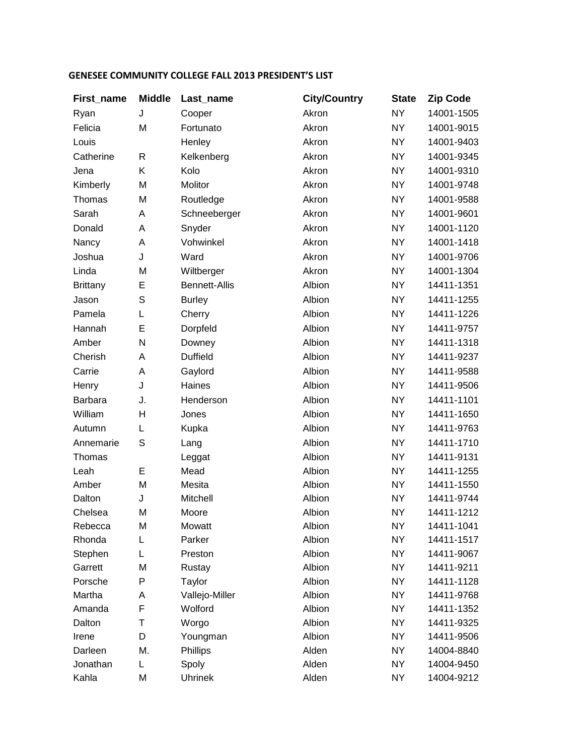## **GENESEE COMMUNITY COLLEGE FALL 2013 PRESIDENT'S LIST**

| First_name      | <b>Middle</b> | Last_name            | <b>City/Country</b> | <b>State</b> | <b>Zip Code</b> |
|-----------------|---------------|----------------------|---------------------|--------------|-----------------|
| Ryan            | J             | Cooper               | Akron               | <b>NY</b>    | 14001-1505      |
| Felicia         | M             | Fortunato            | Akron               | <b>NY</b>    | 14001-9015      |
| Louis           |               | Henley               | Akron               | <b>NY</b>    | 14001-9403      |
| Catherine       | R             | Kelkenberg           | Akron               | <b>NY</b>    | 14001-9345      |
| Jena            | Κ             | Kolo                 | Akron               | <b>NY</b>    | 14001-9310      |
| Kimberly        | M             | Molitor              | Akron               | <b>NY</b>    | 14001-9748      |
| Thomas          | M             | Routledge            | Akron               | <b>NY</b>    | 14001-9588      |
| Sarah           | A             | Schneeberger         | Akron               | <b>NY</b>    | 14001-9601      |
| Donald          | Α             | Snyder               | Akron               | <b>NY</b>    | 14001-1120      |
| Nancy           | A             | Vohwinkel            | Akron               | <b>NY</b>    | 14001-1418      |
| Joshua          | J             | Ward                 | Akron               | <b>NY</b>    | 14001-9706      |
| Linda           | M             | Wiltberger           | Akron               | <b>NY</b>    | 14001-1304      |
| <b>Brittany</b> | E             | <b>Bennett-Allis</b> | Albion              | <b>NY</b>    | 14411-1351      |
| Jason           | $\mathsf S$   | <b>Burley</b>        | Albion              | <b>NY</b>    | 14411-1255      |
| Pamela          | L             | Cherry               | Albion              | <b>NY</b>    | 14411-1226      |
| Hannah          | E             | Dorpfeld             | Albion              | <b>NY</b>    | 14411-9757      |
| Amber           | N             | Downey               | Albion              | <b>NY</b>    | 14411-1318      |
| Cherish         | Α             | <b>Duffield</b>      | Albion              | <b>NY</b>    | 14411-9237      |
| Carrie          | A             | Gaylord              | Albion              | <b>NY</b>    | 14411-9588      |
| Henry           | J             | Haines               | Albion              | <b>NY</b>    | 14411-9506      |
| <b>Barbara</b>  | J.            | Henderson            | Albion              | <b>NY</b>    | 14411-1101      |
| William         | H             | Jones                | Albion              | <b>NY</b>    | 14411-1650      |
| Autumn          | L             | Kupka                | Albion              | <b>NY</b>    | 14411-9763      |
| Annemarie       | $\mathbb S$   | Lang                 | Albion              | <b>NY</b>    | 14411-1710      |
| Thomas          |               | Leggat               | Albion              | <b>NY</b>    | 14411-9131      |
| Leah            | E             | Mead                 | Albion              | NY.          | 14411-1255      |
| Amber           | M             | Mesita               | Albion              | <b>NY</b>    | 14411-1550      |
| Dalton          | J             | Mitchell             | Albion              | NY.          | 14411-9744      |
| Chelsea         | M             | Moore                | Albion              | <b>NY</b>    | 14411-1212      |
| Rebecca         | M             | Mowatt               | Albion              | <b>NY</b>    | 14411-1041      |
| Rhonda          | L             | Parker               | Albion              | <b>NY</b>    | 14411-1517      |
| Stephen         | L             | Preston              | Albion              | <b>NY</b>    | 14411-9067      |
| Garrett         | M             | Rustay               | Albion              | <b>NY</b>    | 14411-9211      |
| Porsche         | P             | Taylor               | Albion              | <b>NY</b>    | 14411-1128      |
| Martha          | A             | Vallejo-Miller       | Albion              | <b>NY</b>    | 14411-9768      |
| Amanda          | F             | Wolford              | Albion              | <b>NY</b>    | 14411-1352      |
| Dalton          | т             | Worgo                | Albion              | <b>NY</b>    | 14411-9325      |
| Irene           | D             | Youngman             | Albion              | <b>NY</b>    | 14411-9506      |
| Darleen         | М.            | Phillips             | Alden               | <b>NY</b>    | 14004-8840      |
| Jonathan        | L.            | Spoly                | Alden               | NY           | 14004-9450      |
| Kahla           | M             | <b>Uhrinek</b>       | Alden               | <b>NY</b>    | 14004-9212      |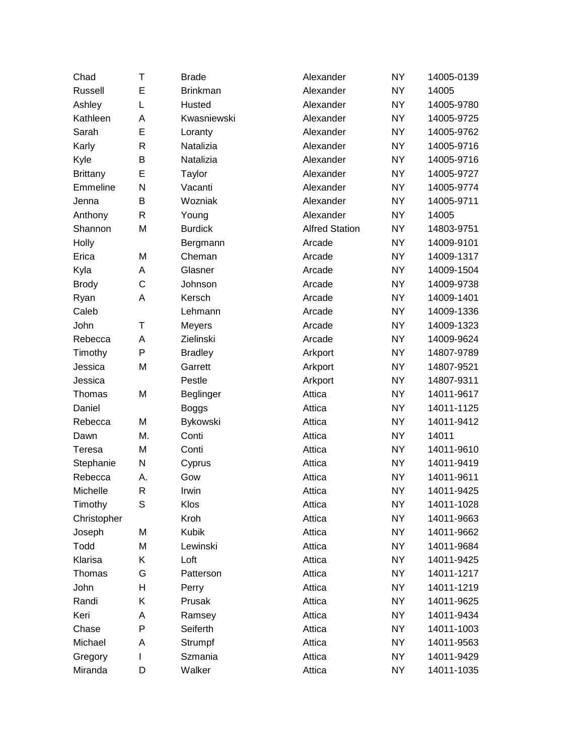| Chad            | Τ  | <b>Brade</b>    | Alexander             | <b>NY</b> | 14005-0139 |
|-----------------|----|-----------------|-----------------------|-----------|------------|
| Russell         | E  | <b>Brinkman</b> | Alexander             | <b>NY</b> | 14005      |
| Ashley          | L  | Husted          | Alexander             | <b>NY</b> | 14005-9780 |
| Kathleen        | Α  | Kwasniewski     | Alexander             | <b>NY</b> | 14005-9725 |
| Sarah           | E  | Loranty         | Alexander             | <b>NY</b> | 14005-9762 |
| Karly           | R  | Natalizia       | Alexander             | <b>NY</b> | 14005-9716 |
| Kyle            | B  | Natalizia       | Alexander             | <b>NY</b> | 14005-9716 |
| <b>Brittany</b> | E  | Taylor          | Alexander             | <b>NY</b> | 14005-9727 |
| Emmeline        | N  | Vacanti         | Alexander             | <b>NY</b> | 14005-9774 |
| Jenna           | B  | Wozniak         | Alexander             | <b>NY</b> | 14005-9711 |
| Anthony         | R  | Young           | Alexander             | <b>NY</b> | 14005      |
| Shannon         | М  | <b>Burdick</b>  | <b>Alfred Station</b> | <b>NY</b> | 14803-9751 |
| Holly           |    | Bergmann        | Arcade                | <b>NY</b> | 14009-9101 |
| Erica           | M  | Cheman          | Arcade                | <b>NY</b> | 14009-1317 |
| Kyla            | Α  | Glasner         | Arcade                | <b>NY</b> | 14009-1504 |
| <b>Brody</b>    | C  | Johnson         | Arcade                | <b>NY</b> | 14009-9738 |
| Ryan            | A  | Kersch          | Arcade                | <b>NY</b> | 14009-1401 |
| Caleb           |    | Lehmann         | Arcade                | <b>NY</b> | 14009-1336 |
| John            | Τ  | Meyers          | Arcade                | <b>NY</b> | 14009-1323 |
| Rebecca         | Α  | Zielinski       | Arcade                | <b>NY</b> | 14009-9624 |
| Timothy         | P  | <b>Bradley</b>  | Arkport               | <b>NY</b> | 14807-9789 |
| Jessica         | M  | Garrett         | Arkport               | <b>NY</b> | 14807-9521 |
| Jessica         |    | Pestle          | Arkport               | <b>NY</b> | 14807-9311 |
| Thomas          | M  | Beglinger       | Attica                | <b>NY</b> | 14011-9617 |
| Daniel          |    | <b>Boggs</b>    | Attica                | <b>NY</b> | 14011-1125 |
| Rebecca         | М  | Bykowski        | Attica                | <b>NY</b> | 14011-9412 |
| Dawn            | М. | Conti           | Attica                | <b>NY</b> | 14011      |
| Teresa          | M  | Conti           | Attica                | <b>NY</b> | 14011-9610 |
| Stephanie       | N  | Cyprus          | Attica                | <b>NY</b> | 14011-9419 |
| Rebecca         | А. | Gow             | Attica                | <b>NY</b> | 14011-9611 |
| Michelle        | R  | Irwin           | Attica                | NY        | 14011-9425 |
| Timothy         | S  | Klos            | Attica                | <b>NY</b> | 14011-1028 |
| Christopher     |    | Kroh            | Attica                | <b>NY</b> | 14011-9663 |
| Joseph          | М  | <b>Kubik</b>    | Attica                | <b>NY</b> | 14011-9662 |
| Todd            | M  | Lewinski        | Attica                | <b>NY</b> | 14011-9684 |
| Klarisa         | Κ  | Loft            | Attica                | <b>NY</b> | 14011-9425 |
| Thomas          | G  | Patterson       | Attica                | <b>NY</b> | 14011-1217 |
| John            | н  | Perry           | Attica                | <b>NY</b> | 14011-1219 |
| Randi           | Κ  | Prusak          | Attica                | <b>NY</b> | 14011-9625 |
| Keri            | A  | Ramsey          | Attica                | <b>NY</b> | 14011-9434 |
| Chase           | P  | Seiferth        | Attica                | <b>NY</b> | 14011-1003 |
| Michael         | Α  | Strumpf         | Attica                | <b>NY</b> | 14011-9563 |
| Gregory         | L  | Szmania         | Attica                | <b>NY</b> | 14011-9429 |
| Miranda         | D  | Walker          | Attica                | <b>NY</b> | 14011-1035 |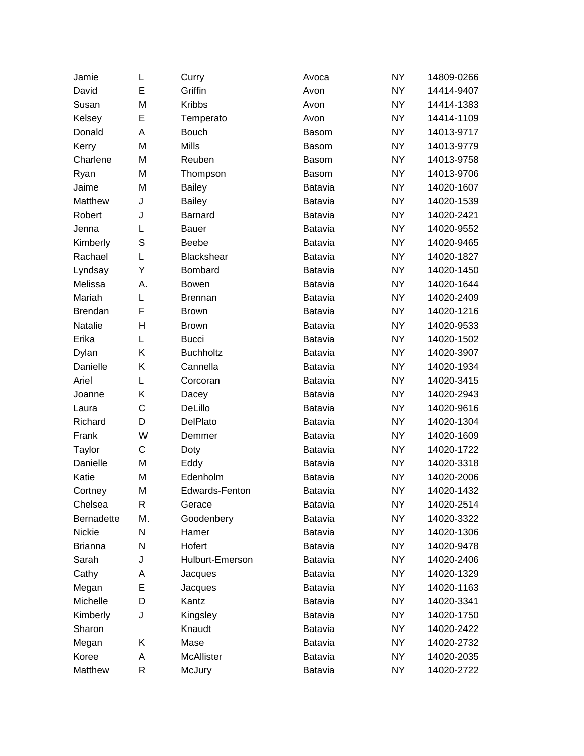| Jamie             | L            | Curry            | Avoca          | <b>NY</b> | 14809-0266 |
|-------------------|--------------|------------------|----------------|-----------|------------|
| David             | E            | Griffin          | Avon           | <b>NY</b> | 14414-9407 |
| Susan             | M            | <b>Kribbs</b>    | Avon           | <b>NY</b> | 14414-1383 |
| Kelsey            | E            | Temperato        | Avon           | <b>NY</b> | 14414-1109 |
| Donald            | A            | <b>Bouch</b>     | Basom          | <b>NY</b> | 14013-9717 |
| Kerry             | M            | <b>Mills</b>     | <b>Basom</b>   | <b>NY</b> | 14013-9779 |
| Charlene          | M            | Reuben           | Basom          | <b>NY</b> | 14013-9758 |
| Ryan              | M            | Thompson         | Basom          | <b>NY</b> | 14013-9706 |
| Jaime             | M            | <b>Bailey</b>    | Batavia        | <b>NY</b> | 14020-1607 |
| Matthew           | J            | <b>Bailey</b>    | Batavia        | <b>NY</b> | 14020-1539 |
| Robert            | J            | Barnard          | Batavia        | NY.       | 14020-2421 |
| Jenna             | L            | <b>Bauer</b>     | Batavia        | <b>NY</b> | 14020-9552 |
| Kimberly          | S            | <b>Beebe</b>     | Batavia        | <b>NY</b> | 14020-9465 |
| Rachael           | L            | Blackshear       | Batavia        | <b>NY</b> | 14020-1827 |
| Lyndsay           | Υ            | Bombard          | Batavia        | <b>NY</b> | 14020-1450 |
| Melissa           | А.           | <b>Bowen</b>     | <b>Batavia</b> | <b>NY</b> | 14020-1644 |
| Mariah            | L            | <b>Brennan</b>   | Batavia        | <b>NY</b> | 14020-2409 |
| <b>Brendan</b>    | F            | <b>Brown</b>     | Batavia        | <b>NY</b> | 14020-1216 |
| Natalie           | H            | <b>Brown</b>     | Batavia        | <b>NY</b> | 14020-9533 |
| Erika             | L            | <b>Bucci</b>     | Batavia        | <b>NY</b> | 14020-1502 |
| Dylan             | Κ            | <b>Buchholtz</b> | Batavia        | <b>NY</b> | 14020-3907 |
| Danielle          | Κ            | Cannella         | Batavia        | <b>NY</b> | 14020-1934 |
| Ariel             | L            | Corcoran         | Batavia        | <b>NY</b> | 14020-3415 |
| Joanne            | Κ            | Dacey            | Batavia        | <b>NY</b> | 14020-2943 |
| Laura             | $\mathsf{C}$ | DeLillo          | Batavia        | <b>NY</b> | 14020-9616 |
| Richard           | D            | DelPlato         | Batavia        | <b>NY</b> | 14020-1304 |
| Frank             | W            | Demmer           | Batavia        | <b>NY</b> | 14020-1609 |
| Taylor            | C            | Doty             | Batavia        | <b>NY</b> | 14020-1722 |
| Danielle          | M            | Eddy             | Batavia        | <b>NY</b> | 14020-3318 |
| Katie             | M            | Edenholm         | Batavia        | <b>NY</b> | 14020-2006 |
| Cortney           | M            | Edwards-Fenton   | <b>Batavia</b> | NY        | 14020-1432 |
| Chelsea           | $\mathsf{R}$ | Gerace           | Batavia        | <b>NY</b> | 14020-2514 |
| <b>Bernadette</b> | М.           | Goodenbery       | Batavia        | <b>NY</b> | 14020-3322 |
| Nickie            | N            | Hamer            | Batavia        | <b>NY</b> | 14020-1306 |
| <b>Brianna</b>    | N            | Hofert           | Batavia        | NY.       | 14020-9478 |
| Sarah             | J            | Hulburt-Emerson  | Batavia        | <b>NY</b> | 14020-2406 |
| Cathy             | A            | Jacques          | Batavia        | <b>NY</b> | 14020-1329 |
| Megan             | E            | Jacques          | Batavia        | <b>NY</b> | 14020-1163 |
| Michelle          | D            | Kantz            | Batavia        | <b>NY</b> | 14020-3341 |
| Kimberly          | J            | Kingsley         | Batavia        | NY.       | 14020-1750 |
| Sharon            |              | Knaudt           | Batavia        | NY.       | 14020-2422 |
| Megan             | Κ            | Mase             | Batavia        | NY.       | 14020-2732 |
| Koree             | Α            | McAllister       | Batavia        | <b>NY</b> | 14020-2035 |
| Matthew           | $\mathsf{R}$ | McJury           | Batavia        | NY.       | 14020-2722 |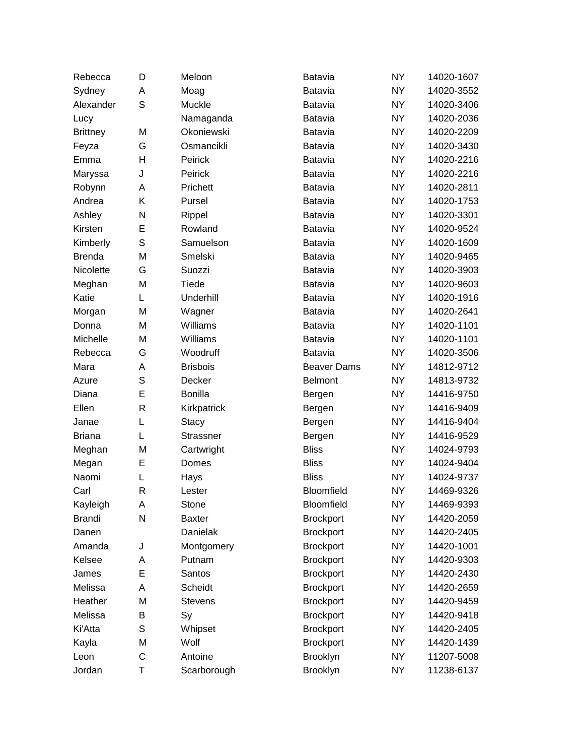| Rebecca         | D            | Meloon            | Batavia            | <b>NY</b> | 14020-1607 |
|-----------------|--------------|-------------------|--------------------|-----------|------------|
| Sydney          | Α            | Moag              | Batavia            | <b>NY</b> | 14020-3552 |
| Alexander       | S            | Muckle            | Batavia            | NY.       | 14020-3406 |
| Lucy            |              | Namaganda         | Batavia            | <b>NY</b> | 14020-2036 |
| <b>Brittney</b> | M            | <b>Okoniewski</b> | Batavia            | <b>NY</b> | 14020-2209 |
| Feyza           | G            | Osmancikli        | <b>Batavia</b>     | NY.       | 14020-3430 |
| Emma            | H            | Peirick           | Batavia            | <b>NY</b> | 14020-2216 |
| Maryssa         | J            | Peirick           | Batavia            | NY.       | 14020-2216 |
| Robynn          | Α            | Prichett          | Batavia            | <b>NY</b> | 14020-2811 |
| Andrea          | Κ            | Pursel            | Batavia            | NY.       | 14020-1753 |
| Ashley          | N            | Rippel            | Batavia            | NY.       | 14020-3301 |
| Kirsten         | E            | Rowland           | Batavia            | <b>NY</b> | 14020-9524 |
| Kimberly        | S            | Samuelson         | Batavia            | NY.       | 14020-1609 |
| <b>Brenda</b>   | M            | Smelski           | Batavia            | <b>NY</b> | 14020-9465 |
| Nicolette       | G            | Suozzi            | Batavia            | NY.       | 14020-3903 |
| Meghan          | M            | Tiede             | Batavia            | NY.       | 14020-9603 |
| Katie           | L            | Underhill         | Batavia            | <b>NY</b> | 14020-1916 |
| Morgan          | M            | Wagner            | Batavia            | NY.       | 14020-2641 |
| Donna           | M            | Williams          | Batavia            | <b>NY</b> | 14020-1101 |
| Michelle        | M            | Williams          | Batavia            | NY.       | 14020-1101 |
| Rebecca         | G            | Woodruff          | Batavia            | NY.       | 14020-3506 |
| Mara            | A            | <b>Brisbois</b>   | <b>Beaver Dams</b> | <b>NY</b> | 14812-9712 |
| Azure           | S            | Decker            | <b>Belmont</b>     | NY.       | 14813-9732 |
| Diana           | E            | <b>Bonilla</b>    | Bergen             | <b>NY</b> | 14416-9750 |
| Ellen           | $\mathsf{R}$ | Kirkpatrick       | Bergen             | NY.       | 14416-9409 |
| Janae           | L            | Stacy             | Bergen             | <b>NY</b> | 14416-9404 |
| <b>Briana</b>   | L            | Strassner         | Bergen             | NY.       | 14416-9529 |
| Meghan          | M            | Cartwright        | <b>Bliss</b>       | <b>NY</b> | 14024-9793 |
| Megan           | E            | Domes             | <b>Bliss</b>       | <b>NY</b> | 14024-9404 |
| Naomi           | L            | Hays              | <b>Bliss</b>       | NY.       | 14024-9737 |
| Carl            | R            | Lester            | Bloomfield         | NY        | 14469-9326 |
| Kayleigh        | Α            | Stone             | Bloomfield         | NY        | 14469-9393 |
| <b>Brandi</b>   | N            | <b>Baxter</b>     | <b>Brockport</b>   | <b>NY</b> | 14420-2059 |
| Danen           |              | Danielak          | <b>Brockport</b>   | <b>NY</b> | 14420-2405 |
| Amanda          | J            | Montgomery        | <b>Brockport</b>   | NY.       | 14420-1001 |
| Kelsee          | Α            | Putnam            | <b>Brockport</b>   | <b>NY</b> | 14420-9303 |
| James           | E            | Santos            | <b>Brockport</b>   | NY.       | 14420-2430 |
| Melissa         | A            | Scheidt           | <b>Brockport</b>   | <b>NY</b> | 14420-2659 |
| Heather         | M            | <b>Stevens</b>    | <b>Brockport</b>   | <b>NY</b> | 14420-9459 |
| Melissa         | B            | Sy                | <b>Brockport</b>   | NY.       | 14420-9418 |
| Ki'Atta         | S            | Whipset           | <b>Brockport</b>   | <b>NY</b> | 14420-2405 |
| Kayla           | M            | Wolf              | <b>Brockport</b>   | NY.       | 14420-1439 |
| Leon            | C            | Antoine           | Brooklyn           | NY.       | 11207-5008 |
| Jordan          | Τ            | Scarborough       | Brooklyn           | NY.       | 11238-6137 |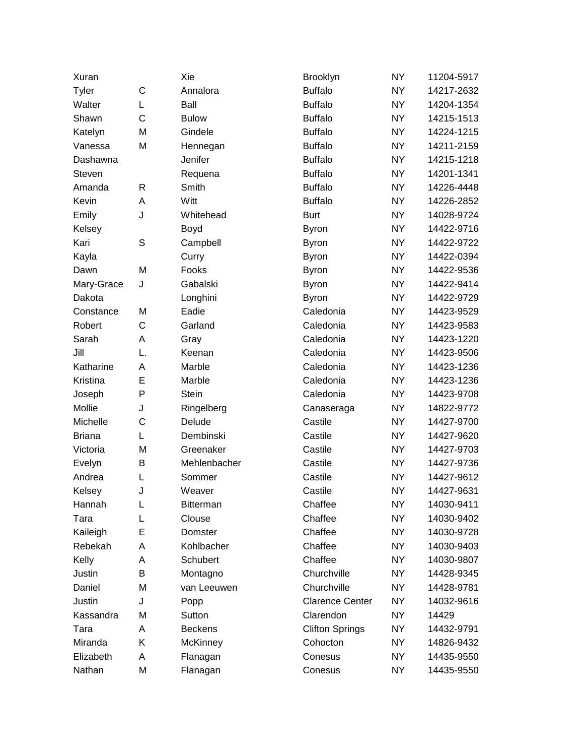| Xuran         |              | Xie              | Brooklyn               | <b>NY</b> | 11204-5917 |
|---------------|--------------|------------------|------------------------|-----------|------------|
| Tyler         | C            | Annalora         | <b>Buffalo</b>         | <b>NY</b> | 14217-2632 |
| Walter        | L            | Ball             | <b>Buffalo</b>         | <b>NY</b> | 14204-1354 |
| Shawn         | $\mathsf{C}$ | <b>Bulow</b>     | <b>Buffalo</b>         | <b>NY</b> | 14215-1513 |
| Katelyn       | M            | Gindele          | <b>Buffalo</b>         | <b>NY</b> | 14224-1215 |
| Vanessa       | M            | Hennegan         | <b>Buffalo</b>         | <b>NY</b> | 14211-2159 |
| Dashawna      |              | Jenifer          | <b>Buffalo</b>         | <b>NY</b> | 14215-1218 |
| Steven        |              | Requena          | <b>Buffalo</b>         | <b>NY</b> | 14201-1341 |
| Amanda        | R            | Smith            | <b>Buffalo</b>         | <b>NY</b> | 14226-4448 |
| Kevin         | Α            | Witt             | <b>Buffalo</b>         | <b>NY</b> | 14226-2852 |
| Emily         | J            | Whitehead        | <b>Burt</b>            | <b>NY</b> | 14028-9724 |
| Kelsey        |              | Boyd             | <b>Byron</b>           | <b>NY</b> | 14422-9716 |
| Kari          | S            | Campbell         | <b>Byron</b>           | <b>NY</b> | 14422-9722 |
| Kayla         |              | Curry            | <b>Byron</b>           | <b>NY</b> | 14422-0394 |
| Dawn          | M            | Fooks            | <b>Byron</b>           | <b>NY</b> | 14422-9536 |
| Mary-Grace    | J            | Gabalski         | <b>Byron</b>           | <b>NY</b> | 14422-9414 |
| Dakota        |              | Longhini         | <b>Byron</b>           | <b>NY</b> | 14422-9729 |
| Constance     | M            | Eadie            | Caledonia              | <b>NY</b> | 14423-9529 |
| Robert        | C            | Garland          | Caledonia              | <b>NY</b> | 14423-9583 |
| Sarah         | Α            | Gray             | Caledonia              | <b>NY</b> | 14423-1220 |
| Jill          | L.           | Keenan           | Caledonia              | <b>NY</b> | 14423-9506 |
| Katharine     | A            | Marble           | Caledonia              | <b>NY</b> | 14423-1236 |
| Kristina      | E            | Marble           | Caledonia              | <b>NY</b> | 14423-1236 |
| Joseph        | $\mathsf{P}$ | <b>Stein</b>     | Caledonia              | <b>NY</b> | 14423-9708 |
| Mollie        | J            | Ringelberg       | Canaseraga             | <b>NY</b> | 14822-9772 |
| Michelle      | $\mathsf{C}$ | Delude           | Castile                | <b>NY</b> | 14427-9700 |
| <b>Briana</b> | L            | Dembinski        | Castile                | <b>NY</b> | 14427-9620 |
| Victoria      | M            | Greenaker        | Castile                | <b>NY</b> | 14427-9703 |
| Evelyn        | B            | Mehlenbacher     | Castile                | <b>NY</b> | 14427-9736 |
| Andrea        | L            | Sommer           | Castile                | NY.       | 14427-9612 |
| Kelsey        | J            | Weaver           | Castile                | <b>NY</b> | 14427-9631 |
| Hannah        | L            | <b>Bitterman</b> | Chaffee                | NY        | 14030-9411 |
| Tara          | L            | Clouse           | Chaffee                | <b>NY</b> | 14030-9402 |
| Kaileigh      | E            | Domster          | Chaffee                | <b>NY</b> | 14030-9728 |
| Rebekah       | A            | Kohlbacher       | Chaffee                | <b>NY</b> | 14030-9403 |
| Kelly         | Α            | Schubert         | Chaffee                | NY.       | 14030-9807 |
| Justin        | В            | Montagno         | Churchville            | NY.       | 14428-9345 |
| Daniel        | M            | van Leeuwen      | Churchville            | <b>NY</b> | 14428-9781 |
| Justin        | J            | Popp             | <b>Clarence Center</b> | <b>NY</b> | 14032-9616 |
| Kassandra     | M            | Sutton           | Clarendon              | NY.       | 14429      |
| Tara          | Α            | <b>Beckens</b>   | <b>Clifton Springs</b> | <b>NY</b> | 14432-9791 |
| Miranda       | Κ            | McKinney         | Cohocton               | NY.       | 14826-9432 |
| Elizabeth     | Α            | Flanagan         | Conesus                | <b>NY</b> | 14435-9550 |
| Nathan        | M            | Flanagan         | Conesus                | NY.       | 14435-9550 |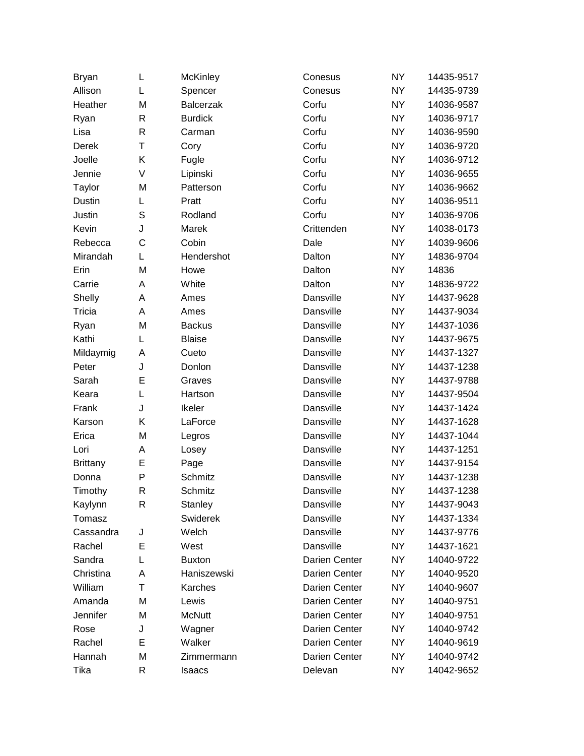| <b>Bryan</b>    | L            | <b>McKinley</b>  | Conesus       | <b>NY</b> | 14435-9517 |
|-----------------|--------------|------------------|---------------|-----------|------------|
| Allison         | L            | Spencer          | Conesus       | <b>NY</b> | 14435-9739 |
| Heather         | M            | <b>Balcerzak</b> | Corfu         | <b>NY</b> | 14036-9587 |
| Ryan            | R            | <b>Burdick</b>   | Corfu         | <b>NY</b> | 14036-9717 |
| Lisa            | $\mathsf{R}$ | Carman           | Corfu         | <b>NY</b> | 14036-9590 |
| Derek           | T            | Cory             | Corfu         | <b>NY</b> | 14036-9720 |
| Joelle          | Κ            | Fugle            | Corfu         | <b>NY</b> | 14036-9712 |
| Jennie          | V            | Lipinski         | Corfu         | <b>NY</b> | 14036-9655 |
| Taylor          | M            | Patterson        | Corfu         | <b>NY</b> | 14036-9662 |
| Dustin          | L            | Pratt            | Corfu         | <b>NY</b> | 14036-9511 |
| Justin          | S            | Rodland          | Corfu         | <b>NY</b> | 14036-9706 |
| Kevin           | J            | Marek            | Crittenden    | <b>NY</b> | 14038-0173 |
| Rebecca         | C            | Cobin            | Dale          | <b>NY</b> | 14039-9606 |
| Mirandah        | L            | Hendershot       | Dalton        | <b>NY</b> | 14836-9704 |
| Erin            | M            | Howe             | Dalton        | <b>NY</b> | 14836      |
| Carrie          | A            | White            | Dalton        | <b>NY</b> | 14836-9722 |
| Shelly          | A            | Ames             | Dansville     | <b>NY</b> | 14437-9628 |
| Tricia          | A            | Ames             | Dansville     | <b>NY</b> | 14437-9034 |
| Ryan            | M            | <b>Backus</b>    | Dansville     | <b>NY</b> | 14437-1036 |
| Kathi           | L            | <b>Blaise</b>    | Dansville     | <b>NY</b> | 14437-9675 |
| Mildaymig       | A            | Cueto            | Dansville     | <b>NY</b> | 14437-1327 |
| Peter           | J            | Donlon           | Dansville     | <b>NY</b> | 14437-1238 |
| Sarah           | E            | Graves           | Dansville     | <b>NY</b> | 14437-9788 |
| Keara           | L            | Hartson          | Dansville     | <b>NY</b> | 14437-9504 |
| Frank           | J            | Ikeler           | Dansville     | <b>NY</b> | 14437-1424 |
| Karson          | Κ            | LaForce          | Dansville     | <b>NY</b> | 14437-1628 |
| Erica           | M            | Legros           | Dansville     | <b>NY</b> | 14437-1044 |
| Lori            | A            | Losey            | Dansville     | <b>NY</b> | 14437-1251 |
| <b>Brittany</b> | E            | Page             | Dansville     | <b>NY</b> | 14437-9154 |
| Donna           | P            | Schmitz          | Dansville     | NY.       | 14437-1238 |
| Timothy         | R            | Schmitz          | Dansville     | <b>NY</b> | 14437-1238 |
| Kaylynn         | R            | Stanley          | Dansville     | NY        | 14437-9043 |
| Tomasz          |              | Swiderek         | Dansville     | <b>NY</b> | 14437-1334 |
| Cassandra       | J            | Welch            | Dansville     | <b>NY</b> | 14437-9776 |
| Rachel          | Е            | West             | Dansville     | <b>NY</b> | 14437-1621 |
| Sandra          | L            | <b>Buxton</b>    | Darien Center | <b>NY</b> | 14040-9722 |
| Christina       | Α            | Haniszewski      | Darien Center | <b>NY</b> | 14040-9520 |
| William         | Τ            | Karches          | Darien Center | <b>NY</b> | 14040-9607 |
| Amanda          | M            | Lewis            | Darien Center | <b>NY</b> | 14040-9751 |
| Jennifer        | M            | <b>McNutt</b>    | Darien Center | <b>NY</b> | 14040-9751 |
| Rose            | J            | Wagner           | Darien Center | <b>NY</b> | 14040-9742 |
| Rachel          | E            | Walker           | Darien Center | <b>NY</b> | 14040-9619 |
| Hannah          | M            | Zimmermann       | Darien Center | <b>NY</b> | 14040-9742 |
| Tika            | R            | Isaacs           | Delevan       | <b>NY</b> | 14042-9652 |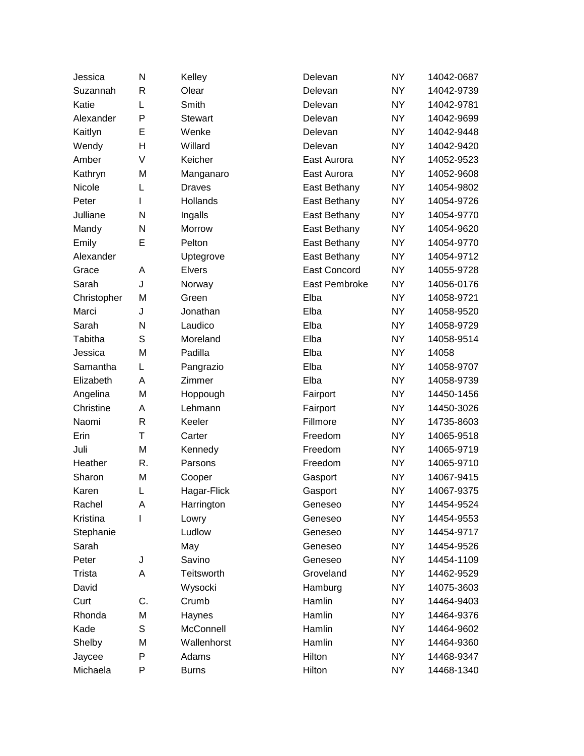| Jessica     | N  | Kelley         | Delevan             | <b>NY</b> | 14042-0687 |
|-------------|----|----------------|---------------------|-----------|------------|
| Suzannah    | R  | Olear          | Delevan             | <b>NY</b> | 14042-9739 |
| Katie       | L  | Smith          | Delevan             | <b>NY</b> | 14042-9781 |
| Alexander   | P  | <b>Stewart</b> | Delevan             | <b>NY</b> | 14042-9699 |
| Kaitlyn     | E  | Wenke          | Delevan             | <b>NY</b> | 14042-9448 |
| Wendy       | H  | Willard        | Delevan             | NY.       | 14042-9420 |
| Amber       | V  | Keicher        | East Aurora         | <b>NY</b> | 14052-9523 |
| Kathryn     | M  | Manganaro      | East Aurora         | <b>NY</b> | 14052-9608 |
| Nicole      | L  | <b>Draves</b>  | East Bethany        | <b>NY</b> | 14054-9802 |
| Peter       | I  | Hollands       | East Bethany        | <b>NY</b> | 14054-9726 |
| Julliane    | N  | Ingalls        | East Bethany        | <b>NY</b> | 14054-9770 |
| Mandy       | N  | Morrow         | East Bethany        | <b>NY</b> | 14054-9620 |
| Emily       | E  | Pelton         | East Bethany        | <b>NY</b> | 14054-9770 |
| Alexander   |    | Uptegrove      | East Bethany        | <b>NY</b> | 14054-9712 |
| Grace       | Α  | Elvers         | <b>East Concord</b> | <b>NY</b> | 14055-9728 |
| Sarah       | J  | Norway         | East Pembroke       | NY.       | 14056-0176 |
| Christopher | M  | Green          | Elba                | <b>NY</b> | 14058-9721 |
| Marci       | J  | Jonathan       | Elba                | NY.       | 14058-9520 |
| Sarah       | N  | Laudico        | Elba                | <b>NY</b> | 14058-9729 |
| Tabitha     | S  | Moreland       | Elba                | <b>NY</b> | 14058-9514 |
| Jessica     | M  | Padilla        | Elba                | NY.       | 14058      |
| Samantha    | L  | Pangrazio      | Elba                | <b>NY</b> | 14058-9707 |
| Elizabeth   | Α  | Zimmer         | Elba                | <b>NY</b> | 14058-9739 |
| Angelina    | M  | Hoppough       | Fairport            | <b>NY</b> | 14450-1456 |
| Christine   | Α  | Lehmann        | Fairport            | <b>NY</b> | 14450-3026 |
| Naomi       | R  | Keeler         | Fillmore            | NY.       | 14735-8603 |
| Erin        | Τ  | Carter         | Freedom             | <b>NY</b> | 14065-9518 |
| Juli        | M  | Kennedy        | Freedom             | <b>NY</b> | 14065-9719 |
| Heather     | R. | Parsons        | Freedom             | <b>NY</b> | 14065-9710 |
| Sharon      | Μ  | Cooper         | Gasport             | <b>NY</b> | 14067-9415 |
| Karen       | L  | Hagar-Flick    | Gasport             | <b>NY</b> | 14067-9375 |
| Rachel      | Α  | Harrington     | Geneseo             | <b>NY</b> | 14454-9524 |
| Kristina    | ı  | Lowry          | Geneseo             | <b>NY</b> | 14454-9553 |
| Stephanie   |    | Ludlow         | Geneseo             | <b>NY</b> | 14454-9717 |
| Sarah       |    | May            | Geneseo             | <b>NY</b> | 14454-9526 |
| Peter       | J  | Savino         | Geneseo             | <b>NY</b> | 14454-1109 |
| Trista      | A  | Teitsworth     | Groveland           | <b>NY</b> | 14462-9529 |
| David       |    | Wysocki        | Hamburg             | <b>NY</b> | 14075-3603 |
| Curt        | C. | Crumb          | Hamlin              | <b>NY</b> | 14464-9403 |
| Rhonda      | M  | Haynes         | Hamlin              | <b>NY</b> | 14464-9376 |
| Kade        | S  | McConnell      | Hamlin              | <b>NY</b> | 14464-9602 |
| Shelby      | M  | Wallenhorst    | Hamlin              | <b>NY</b> | 14464-9360 |
| Jaycee      | P  | Adams          | Hilton              | <b>NY</b> | 14468-9347 |
| Michaela    | P  | <b>Burns</b>   | Hilton              | NY.       | 14468-1340 |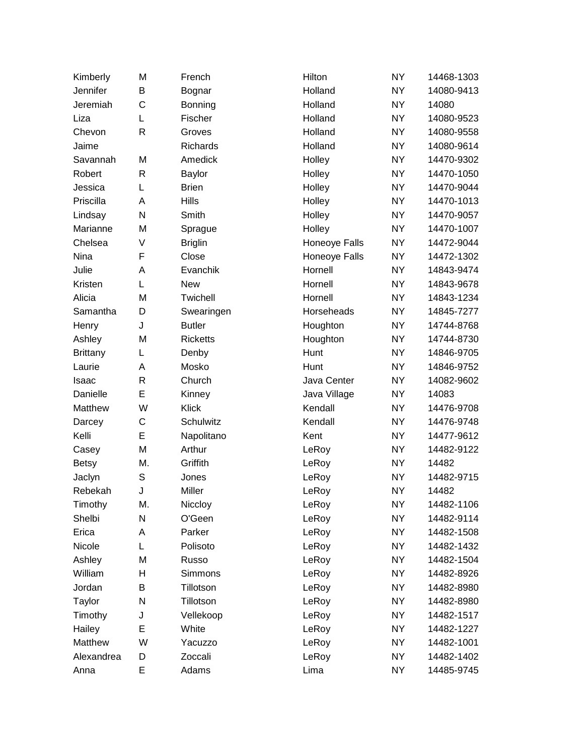| Kimberly        | M            | French          | Hilton        | <b>NY</b> | 14468-1303 |
|-----------------|--------------|-----------------|---------------|-----------|------------|
| Jennifer        | B            | Bognar          | Holland       | <b>NY</b> | 14080-9413 |
| Jeremiah        | C            | Bonning         | Holland       | <b>NY</b> | 14080      |
| Liza            | L            | Fischer         | Holland       | <b>NY</b> | 14080-9523 |
| Chevon          | $\mathsf{R}$ | Groves          | Holland       | <b>NY</b> | 14080-9558 |
| Jaime           |              | Richards        | Holland       | <b>NY</b> | 14080-9614 |
| Savannah        | M            | Amedick         | Holley        | <b>NY</b> | 14470-9302 |
| Robert          | $\mathsf{R}$ | Baylor          | Holley        | <b>NY</b> | 14470-1050 |
| Jessica         | L            | <b>Brien</b>    | Holley        | <b>NY</b> | 14470-9044 |
| Priscilla       | Α            | Hills           | Holley        | NY.       | 14470-1013 |
| Lindsay         | N            | Smith           | Holley        | <b>NY</b> | 14470-9057 |
| Marianne        | M            | Sprague         | Holley        | <b>NY</b> | 14470-1007 |
| Chelsea         | V            | <b>Briglin</b>  | Honeoye Falls | <b>NY</b> | 14472-9044 |
| Nina            | F            | Close           | Honeoye Falls | <b>NY</b> | 14472-1302 |
| Julie           | A            | Evanchik        | Hornell       | <b>NY</b> | 14843-9474 |
| Kristen         | L            | <b>New</b>      | Hornell       | <b>NY</b> | 14843-9678 |
| Alicia          | M            | Twichell        | Hornell       | <b>NY</b> | 14843-1234 |
| Samantha        | D            | Swearingen      | Horseheads    | <b>NY</b> | 14845-7277 |
| Henry           | J            | <b>Butler</b>   | Houghton      | <b>NY</b> | 14744-8768 |
| Ashley          | M            | <b>Ricketts</b> | Houghton      | NY.       | 14744-8730 |
| <b>Brittany</b> | L            | Denby           | Hunt          | <b>NY</b> | 14846-9705 |
| Laurie          | Α            | Mosko           | Hunt          | <b>NY</b> | 14846-9752 |
| Isaac           | R            | Church          | Java Center   | <b>NY</b> | 14082-9602 |
| Danielle        | E            | Kinney          | Java Village  | <b>NY</b> | 14083      |
| Matthew         | W            | Klick           | Kendall       | <b>NY</b> | 14476-9708 |
| Darcey          | C            | Schulwitz       | Kendall       | <b>NY</b> | 14476-9748 |
| Kelli           | E            | Napolitano      | Kent          | NY.       | 14477-9612 |
| Casey           | M            | Arthur          | LeRoy         | <b>NY</b> | 14482-9122 |
| <b>Betsy</b>    | М.           | Griffith        | LeRoy         | NY.       | 14482      |
| Jaclyn          | S            | Jones           | LeRoy         | <b>NY</b> | 14482-9715 |
| Rebekah         | J            | Miller          | LeRoy         | <b>NY</b> | 14482      |
| Timothy         | М.           | Niccloy         | LeRoy         | <b>NY</b> | 14482-1106 |
| Shelbi          | N            | O'Geen          | LeRoy         | <b>NY</b> | 14482-9114 |
| Erica           | A            | Parker          | LeRoy         | <b>NY</b> | 14482-1508 |
| Nicole          | L            | Polisoto        | LeRoy         | <b>NY</b> | 14482-1432 |
| Ashley          | M            | Russo           | LeRoy         | <b>NY</b> | 14482-1504 |
| William         | н            | <b>Simmons</b>  | LeRoy         | <b>NY</b> | 14482-8926 |
| Jordan          | В            | Tillotson       | LeRoy         | <b>NY</b> | 14482-8980 |
| Taylor          | N            | Tillotson       | LeRoy         | <b>NY</b> | 14482-8980 |
| Timothy         | J            | Vellekoop       | LeRoy         | <b>NY</b> | 14482-1517 |
| Hailey          | E            | White           | LeRoy         | <b>NY</b> | 14482-1227 |
| Matthew         | W            | Yacuzzo         | LeRoy         | <b>NY</b> | 14482-1001 |
| Alexandrea      | D            | Zoccali         | LeRoy         | <b>NY</b> | 14482-1402 |
| Anna            | E            | Adams           | Lima          | <b>NY</b> | 14485-9745 |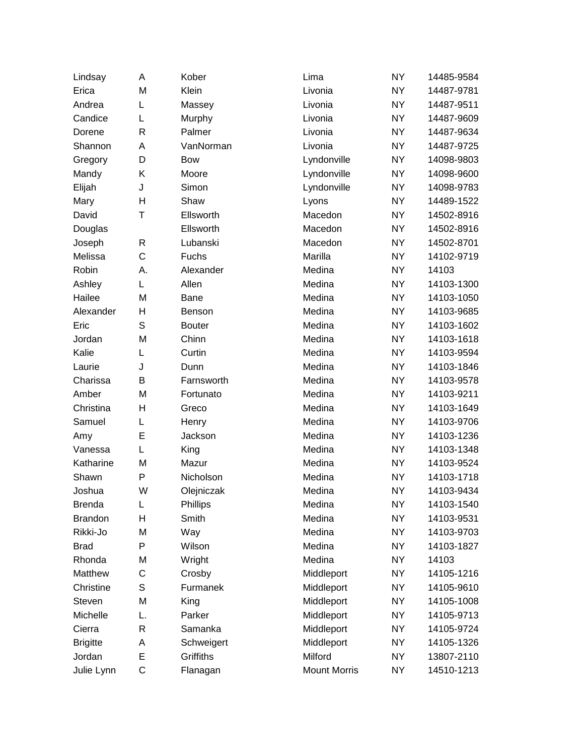| Lindsay         | A  | Kober         | Lima                | <b>NY</b> | 14485-9584 |
|-----------------|----|---------------|---------------------|-----------|------------|
| Erica           | M  | Klein         | Livonia             | <b>NY</b> | 14487-9781 |
| Andrea          | L  | Massey        | Livonia             | <b>NY</b> | 14487-9511 |
| Candice         | L  | Murphy        | Livonia             | <b>NY</b> | 14487-9609 |
| Dorene          | R  | Palmer        | Livonia             | <b>NY</b> | 14487-9634 |
| Shannon         | Α  | VanNorman     | Livonia             | <b>NY</b> | 14487-9725 |
| Gregory         | D  | Bow           | Lyndonville         | <b>NY</b> | 14098-9803 |
| Mandy           | Κ  | Moore         | Lyndonville         | <b>NY</b> | 14098-9600 |
| Elijah          | J  | Simon         | Lyndonville         | <b>NY</b> | 14098-9783 |
| Mary            | H  | Shaw          | Lyons               | <b>NY</b> | 14489-1522 |
| David           | Τ  | Ellsworth     | Macedon             | <b>NY</b> | 14502-8916 |
| Douglas         |    | Ellsworth     | Macedon             | <b>NY</b> | 14502-8916 |
| Joseph          | R  | Lubanski      | Macedon             | <b>NY</b> | 14502-8701 |
| Melissa         | C  | Fuchs         | Marilla             | <b>NY</b> | 14102-9719 |
| Robin           | А. | Alexander     | Medina              | <b>NY</b> | 14103      |
| Ashley          | L  | Allen         | Medina              | <b>NY</b> | 14103-1300 |
| Hailee          | M  | Bane          | Medina              | <b>NY</b> | 14103-1050 |
| Alexander       | н  | Benson        | Medina              | <b>NY</b> | 14103-9685 |
| Eric            | S  | <b>Bouter</b> | Medina              | <b>NY</b> | 14103-1602 |
| Jordan          | M  | Chinn         | Medina              | <b>NY</b> | 14103-1618 |
| Kalie           | L  | Curtin        | Medina              | <b>NY</b> | 14103-9594 |
| Laurie          | J  | Dunn          | Medina              | <b>NY</b> | 14103-1846 |
| Charissa        | В  | Farnsworth    | Medina              | <b>NY</b> | 14103-9578 |
| Amber           | M  | Fortunato     | Medina              | <b>NY</b> | 14103-9211 |
| Christina       | H  | Greco         | Medina              | <b>NY</b> | 14103-1649 |
| Samuel          | L  | Henry         | Medina              | <b>NY</b> | 14103-9706 |
| Amy             | E  | Jackson       | Medina              | <b>NY</b> | 14103-1236 |
| Vanessa         | L  | King          | Medina              | <b>NY</b> | 14103-1348 |
| Katharine       | M  | Mazur         | Medina              | <b>NY</b> | 14103-9524 |
| Shawn           | P  | Nicholson     | Medina              | <b>NY</b> | 14103-1718 |
| Joshua          | W  | Olejniczak    | Medina              | <b>NY</b> | 14103-9434 |
| <b>Brenda</b>   | L  | Phillips      | Medina              | <b>NY</b> | 14103-1540 |
| <b>Brandon</b>  | H  | Smith         | Medina              | <b>NY</b> | 14103-9531 |
| Rikki-Jo        | M  | Way           | Medina              | <b>NY</b> | 14103-9703 |
| <b>Brad</b>     | P  | Wilson        | Medina              | <b>NY</b> | 14103-1827 |
| Rhonda          | M  | Wright        | Medina              | <b>NY</b> | 14103      |
| Matthew         | C  | Crosby        | Middleport          | <b>NY</b> | 14105-1216 |
| Christine       | S  | Furmanek      | Middleport          | <b>NY</b> | 14105-9610 |
| Steven          | M  | King          | Middleport          | <b>NY</b> | 14105-1008 |
| Michelle        | L. | Parker        | Middleport          | <b>NY</b> | 14105-9713 |
| Cierra          | R  | Samanka       | Middleport          | <b>NY</b> | 14105-9724 |
| <b>Brigitte</b> | Α  | Schweigert    | Middleport          | <b>NY</b> | 14105-1326 |
| Jordan          | E  | Griffiths     | Milford             | <b>NY</b> | 13807-2110 |
| Julie Lynn      | C  | Flanagan      | <b>Mount Morris</b> | <b>NY</b> | 14510-1213 |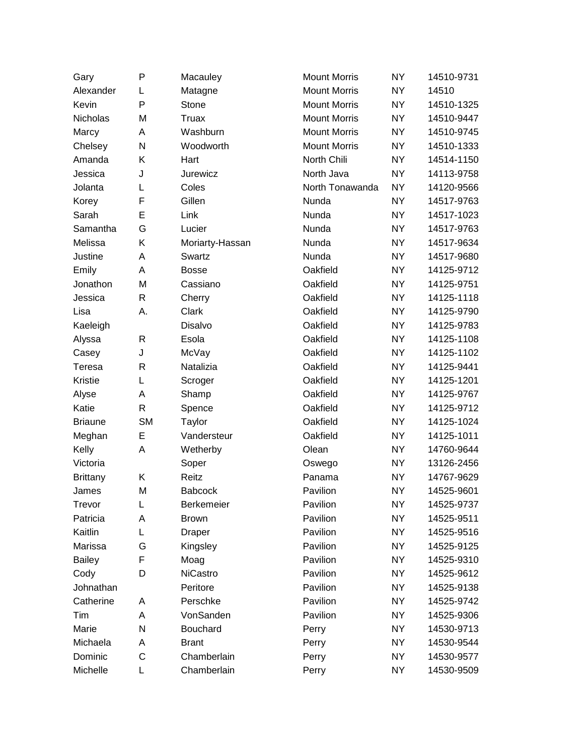| Gary            | P         | Macauley        | <b>Mount Morris</b> | <b>NY</b> | 14510-9731 |
|-----------------|-----------|-----------------|---------------------|-----------|------------|
| Alexander       | L         | Matagne         | <b>Mount Morris</b> | <b>NY</b> | 14510      |
| Kevin           | P         | Stone           | <b>Mount Morris</b> | <b>NY</b> | 14510-1325 |
| Nicholas        | M         | <b>Truax</b>    | <b>Mount Morris</b> | <b>NY</b> | 14510-9447 |
| Marcy           | A         | Washburn        | <b>Mount Morris</b> | <b>NY</b> | 14510-9745 |
| Chelsey         | N         | Woodworth       | <b>Mount Morris</b> | <b>NY</b> | 14510-1333 |
| Amanda          | Κ         | Hart            | North Chili         | <b>NY</b> | 14514-1150 |
| Jessica         | J         | Jurewicz        | North Java          | <b>NY</b> | 14113-9758 |
| Jolanta         | L         | Coles           | North Tonawanda     | <b>NY</b> | 14120-9566 |
| Korey           | F         | Gillen          | Nunda               | <b>NY</b> | 14517-9763 |
| Sarah           | E         | Link            | Nunda               | <b>NY</b> | 14517-1023 |
| Samantha        | G         | Lucier          | Nunda               | <b>NY</b> | 14517-9763 |
| Melissa         | Κ         | Moriarty-Hassan | Nunda               | <b>NY</b> | 14517-9634 |
| Justine         | Α         | Swartz          | Nunda               | <b>NY</b> | 14517-9680 |
| Emily           | A         | <b>Bosse</b>    | Oakfield            | <b>NY</b> | 14125-9712 |
| Jonathon        | M         | Cassiano        | Oakfield            | <b>NY</b> | 14125-9751 |
| Jessica         | R         | Cherry          | Oakfield            | <b>NY</b> | 14125-1118 |
| Lisa            | А.        | Clark           | Oakfield            | <b>NY</b> | 14125-9790 |
| Kaeleigh        |           | Disalvo         | Oakfield            | <b>NY</b> | 14125-9783 |
| Alyssa          | R         | Esola           | Oakfield            | <b>NY</b> | 14125-1108 |
| Casey           | J         | McVay           | Oakfield            | <b>NY</b> | 14125-1102 |
| Teresa          | R         | Natalizia       | Oakfield            | <b>NY</b> | 14125-9441 |
| Kristie         | L         | Scroger         | Oakfield            | <b>NY</b> | 14125-1201 |
| Alyse           | Α         | Shamp           | Oakfield            | <b>NY</b> | 14125-9767 |
| Katie           | R         | Spence          | Oakfield            | <b>NY</b> | 14125-9712 |
| <b>Briaune</b>  | <b>SM</b> | Taylor          | Oakfield            | <b>NY</b> | 14125-1024 |
| Meghan          | E         | Vandersteur     | Oakfield            | <b>NY</b> | 14125-1011 |
| Kelly           | Α         | Wetherby        | Olean               | <b>NY</b> | 14760-9644 |
| Victoria        |           | Soper           | Oswego              | <b>NY</b> | 13126-2456 |
| <b>Brittany</b> | Κ         | Reitz           | Panama              | <b>NY</b> | 14767-9629 |
| James           | M         | <b>Babcock</b>  | Pavilion            | <b>NY</b> | 14525-9601 |
| Trevor          | L         | Berkemeier      | Pavilion            | <b>NY</b> | 14525-9737 |
| Patricia        | A         | <b>Brown</b>    | Pavilion            | <b>NY</b> | 14525-9511 |
| Kaitlin         | L         | <b>Draper</b>   | Pavilion            | <b>NY</b> | 14525-9516 |
| Marissa         | G         | Kingsley        | Pavilion            | <b>NY</b> | 14525-9125 |
| <b>Bailey</b>   | F         | Moag            | Pavilion            | <b>NY</b> | 14525-9310 |
| Cody            | D         | <b>NiCastro</b> | Pavilion            | <b>NY</b> | 14525-9612 |
| Johnathan       |           | Peritore        | Pavilion            | <b>NY</b> | 14525-9138 |
| Catherine       | A         | Perschke        | Pavilion            | <b>NY</b> | 14525-9742 |
| Tim             | A         | VonSanden       | Pavilion            | <b>NY</b> | 14525-9306 |
| Marie           | Ν         | Bouchard        | Perry               | <b>NY</b> | 14530-9713 |
| Michaela        | Α         | <b>Brant</b>    | Perry               | <b>NY</b> | 14530-9544 |
| Dominic         | C         | Chamberlain     | Perry               | <b>NY</b> | 14530-9577 |
| Michelle        | L         | Chamberlain     | Perry               | <b>NY</b> | 14530-9509 |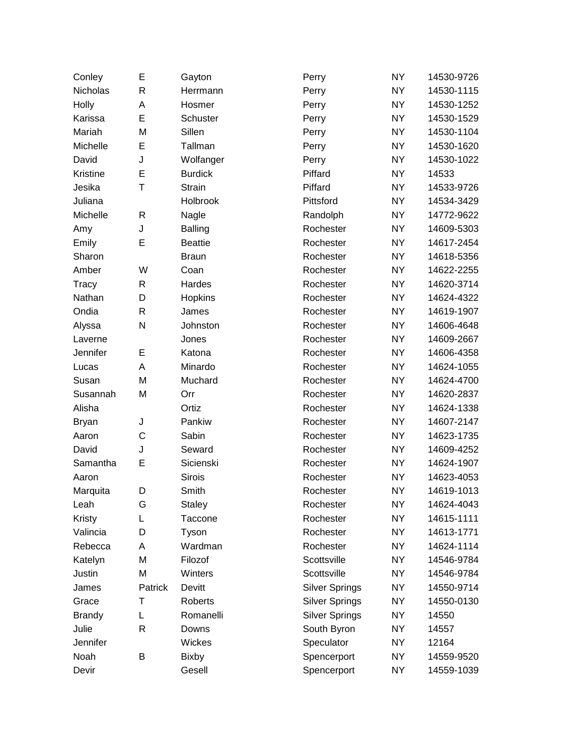| Conley        | Е       | Gayton         | Perry                 | <b>NY</b> | 14530-9726 |
|---------------|---------|----------------|-----------------------|-----------|------------|
| Nicholas      | R       | Herrmann       | Perry                 | <b>NY</b> | 14530-1115 |
| Holly         | A       | Hosmer         | Perry                 | <b>NY</b> | 14530-1252 |
| Karissa       | E       | Schuster       | Perry                 | <b>NY</b> | 14530-1529 |
| Mariah        | M       | Sillen         | Perry                 | <b>NY</b> | 14530-1104 |
| Michelle      | E       | Tallman        | Perry                 | <b>NY</b> | 14530-1620 |
| David         | J       | Wolfanger      | Perry                 | <b>NY</b> | 14530-1022 |
| Kristine      | E       | <b>Burdick</b> | Piffard               | <b>NY</b> | 14533      |
| Jesika        | Τ       | <b>Strain</b>  | Piffard               | <b>NY</b> | 14533-9726 |
| Juliana       |         | Holbrook       | Pittsford             | <b>NY</b> | 14534-3429 |
| Michelle      | R       | Nagle          | Randolph              | <b>NY</b> | 14772-9622 |
| Amy           | J       | <b>Balling</b> | Rochester             | <b>NY</b> | 14609-5303 |
| Emily         | E       | <b>Beattie</b> | Rochester             | <b>NY</b> | 14617-2454 |
| Sharon        |         | <b>Braun</b>   | Rochester             | <b>NY</b> | 14618-5356 |
| Amber         | W       | Coan           | Rochester             | <b>NY</b> | 14622-2255 |
| Tracy         | R       | Hardes         | Rochester             | <b>NY</b> | 14620-3714 |
| Nathan        | D       | Hopkins        | Rochester             | <b>NY</b> | 14624-4322 |
| Ondia         | R       | James          | Rochester             | <b>NY</b> | 14619-1907 |
| Alyssa        | N       | Johnston       | Rochester             | <b>NY</b> | 14606-4648 |
| Laverne       |         | Jones          | Rochester             | <b>NY</b> | 14609-2667 |
| Jennifer      | E       | Katona         | Rochester             | <b>NY</b> | 14606-4358 |
| Lucas         | A       | Minardo        | Rochester             | <b>NY</b> | 14624-1055 |
| Susan         | M       | Muchard        | Rochester             | <b>NY</b> | 14624-4700 |
| Susannah      | M       | Orr            | Rochester             | <b>NY</b> | 14620-2837 |
| Alisha        |         | Ortiz          | Rochester             | <b>NY</b> | 14624-1338 |
| <b>Bryan</b>  | J       | Pankiw         | Rochester             | <b>NY</b> | 14607-2147 |
| Aaron         | C       | Sabin          | Rochester             | <b>NY</b> | 14623-1735 |
| David         | J       | Seward         | Rochester             | <b>NY</b> | 14609-4252 |
| Samantha      | E       | Sicienski      | Rochester             | <b>NY</b> | 14624-1907 |
| Aaron         |         | <b>Sirois</b>  | Rochester             | <b>NY</b> | 14623-4053 |
| Marquita      | D       | Smith          | Rochester             | <b>NY</b> | 14619-1013 |
| Leah          | G       | <b>Staley</b>  | Rochester             | <b>NY</b> | 14624-4043 |
| Kristy        | L       | Taccone        | Rochester             | <b>NY</b> | 14615-1111 |
| Valincia      | D       | Tyson          | Rochester             | <b>NY</b> | 14613-1771 |
| Rebecca       | A       | Wardman        | Rochester             | <b>NY</b> | 14624-1114 |
| Katelyn       | M       | Filozof        | Scottsville           | <b>NY</b> | 14546-9784 |
| Justin        | M       | Winters        | Scottsville           | <b>NY</b> | 14546-9784 |
| James         | Patrick | Devitt         | <b>Silver Springs</b> | <b>NY</b> | 14550-9714 |
| Grace         | т       | <b>Roberts</b> | <b>Silver Springs</b> | <b>NY</b> | 14550-0130 |
| <b>Brandy</b> | L       | Romanelli      | <b>Silver Springs</b> | <b>NY</b> | 14550      |
| Julie         | R       | Downs          | South Byron           | <b>NY</b> | 14557      |
| Jennifer      |         | Wickes         | Speculator            | <b>NY</b> | 12164      |
| Noah          | B       | <b>Bixby</b>   | Spencerport           | <b>NY</b> | 14559-9520 |
| Devir         |         | Gesell         | Spencerport           | <b>NY</b> | 14559-1039 |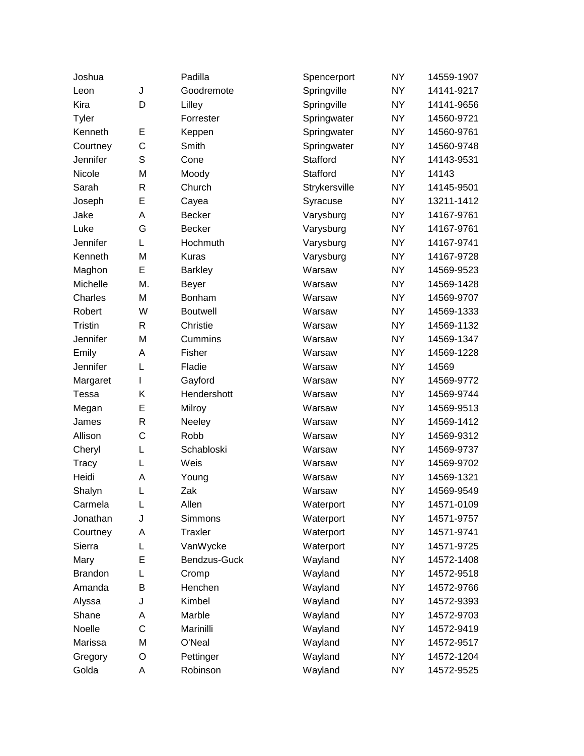| Joshua         |    | Padilla         | Spencerport   | <b>NY</b> | 14559-1907 |
|----------------|----|-----------------|---------------|-----------|------------|
| Leon           | J  | Goodremote      | Springville   | <b>NY</b> | 14141-9217 |
| Kira           | D  | Lilley          | Springville   | <b>NY</b> | 14141-9656 |
| Tyler          |    | Forrester       | Springwater   | <b>NY</b> | 14560-9721 |
| Kenneth        | E  | Keppen          | Springwater   | <b>NY</b> | 14560-9761 |
| Courtney       | C  | Smith           | Springwater   | <b>NY</b> | 14560-9748 |
| Jennifer       | S  | Cone            | Stafford      | <b>NY</b> | 14143-9531 |
| Nicole         | M  | Moody           | Stafford      | <b>NY</b> | 14143      |
| Sarah          | R  | Church          | Strykersville | <b>NY</b> | 14145-9501 |
| Joseph         | E  | Cayea           | Syracuse      | <b>NY</b> | 13211-1412 |
| Jake           | A  | <b>Becker</b>   | Varysburg     | <b>NY</b> | 14167-9761 |
| Luke           | G  | <b>Becker</b>   | Varysburg     | <b>NY</b> | 14167-9761 |
| Jennifer       | L  | Hochmuth        | Varysburg     | <b>NY</b> | 14167-9741 |
| Kenneth        | M  | <b>Kuras</b>    | Varysburg     | <b>NY</b> | 14167-9728 |
| Maghon         | E  | <b>Barkley</b>  | Warsaw        | <b>NY</b> | 14569-9523 |
| Michelle       | M. | <b>Beyer</b>    | Warsaw        | <b>NY</b> | 14569-1428 |
| Charles        | M  | Bonham          | Warsaw        | <b>NY</b> | 14569-9707 |
| Robert         | W  | <b>Boutwell</b> | Warsaw        | <b>NY</b> | 14569-1333 |
| Tristin        | R  | Christie        | Warsaw        | <b>NY</b> | 14569-1132 |
| Jennifer       | M  | Cummins         | Warsaw        | <b>NY</b> | 14569-1347 |
| Emily          | Α  | Fisher          | Warsaw        | <b>NY</b> | 14569-1228 |
| Jennifer       | L  | Fladie          | Warsaw        | <b>NY</b> | 14569      |
| Margaret       | L  | Gayford         | Warsaw        | <b>NY</b> | 14569-9772 |
| Tessa          | Κ  | Hendershott     | Warsaw        | <b>NY</b> | 14569-9744 |
| Megan          | E  | Milroy          | Warsaw        | <b>NY</b> | 14569-9513 |
| James          | R  | Neeley          | Warsaw        | <b>NY</b> | 14569-1412 |
| Allison        | C  | Robb            | Warsaw        | <b>NY</b> | 14569-9312 |
| Cheryl         | L  | Schabloski      | Warsaw        | <b>NY</b> | 14569-9737 |
| Tracy          | L  | Weis            | Warsaw        | <b>NY</b> | 14569-9702 |
| Heidi          | Α  | Young           | Warsaw        | <b>NY</b> | 14569-1321 |
| Shalyn         | L  | Zak             | Warsaw        | <b>NY</b> | 14569-9549 |
| Carmela        | L  | Allen           | Waterport     | <b>NY</b> | 14571-0109 |
| Jonathan       | J  | Simmons         | Waterport     | <b>NY</b> | 14571-9757 |
| Courtney       | А  | Traxler         | Waterport     | <b>NY</b> | 14571-9741 |
| Sierra         | L  | VanWycke        | Waterport     | <b>NY</b> | 14571-9725 |
| Mary           | Ε  | Bendzus-Guck    | Wayland       | <b>NY</b> | 14572-1408 |
| <b>Brandon</b> | L  | Cromp           | Wayland       | <b>NY</b> | 14572-9518 |
| Amanda         | В  | Henchen         | Wayland       | <b>NY</b> | 14572-9766 |
| Alyssa         | J  | Kimbel          | Wayland       | <b>NY</b> | 14572-9393 |
| Shane          | A  | Marble          | Wayland       | <b>NY</b> | 14572-9703 |
| Noelle         | C  | Marinilli       | Wayland       | <b>NY</b> | 14572-9419 |
| Marissa        | M  | O'Neal          | Wayland       | <b>NY</b> | 14572-9517 |
| Gregory        | O  | Pettinger       | Wayland       | <b>NY</b> | 14572-1204 |
| Golda          | A  | Robinson        | Wayland       | <b>NY</b> | 14572-9525 |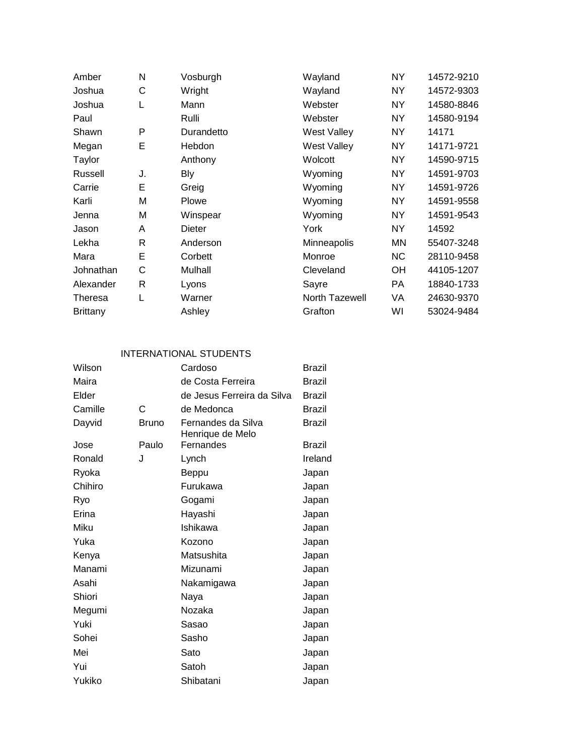| Amber           | N            | Vosburgh   | Wayland            | NY.       | 14572-9210 |
|-----------------|--------------|------------|--------------------|-----------|------------|
| Joshua          | C            | Wright     | Wayland            | <b>NY</b> | 14572-9303 |
| Joshua          | L            | Mann       | Webster            | NY.       | 14580-8846 |
| Paul            |              | Rulli      | Webster            | NY.       | 14580-9194 |
| Shawn           | P            | Durandetto | <b>West Valley</b> | NY        | 14171      |
| Megan           | E            | Hebdon     | <b>West Valley</b> | NY.       | 14171-9721 |
| Taylor          |              | Anthony    | Wolcott            | NY.       | 14590-9715 |
| Russell         | J.           | Bly        | Wyoming            | NY        | 14591-9703 |
| Carrie          | Е            | Greig      | Wyoming            | <b>NY</b> | 14591-9726 |
| Karli           | M            | Plowe      | Wyoming            | <b>NY</b> | 14591-9558 |
| Jenna           | М            | Winspear   | Wyoming            | NY.       | 14591-9543 |
| Jason           | A            | Dieter     | York               | <b>NY</b> | 14592      |
| Lekha           | R.           | Anderson   | Minneapolis        | ΜN        | 55407-3248 |
| Mara            | E            | Corbett    | Monroe             | <b>NC</b> | 28110-9458 |
| Johnathan       | $\mathsf{C}$ | Mulhall    | Cleveland          | OН        | 44105-1207 |
| Alexander       | R            | Lyons      | Sayre              | PA        | 18840-1733 |
| Theresa         | L            | Warner     | North Tazewell     | VA        | 24630-9370 |
| <b>Brittany</b> |              | Ashley     | Grafton            | W١        | 53024-9484 |

## INTERNATIONAL STUDENTS

| Wilson  |       | Cardoso                                | <b>Brazil</b> |
|---------|-------|----------------------------------------|---------------|
| Maira   |       | de Costa Ferreira                      | Brazil        |
| Elder   |       | de Jesus Ferreira da Silva             | <b>Brazil</b> |
| Camille | С     | de Medonca                             | Brazil        |
| Dayvid  | Bruno | Fernandes da Silva<br>Henrique de Melo | Brazil        |
| Jose    | Paulo | Fernandes                              | Brazil        |
| Ronald  | J     | Lynch                                  | Ireland       |
| Ryoka   |       | Beppu                                  | Japan         |
| Chihiro |       | Furukawa                               | Japan         |
| Ryo     |       | Gogami                                 | Japan         |
| Erina   |       | Hayashi                                | Japan         |
| Miku    |       | Ishikawa                               | Japan         |
| Yuka    |       | Kozono                                 | Japan         |
| Kenya   |       | Matsushita                             | Japan         |
| Manami  |       | Mizunami                               | Japan         |
| Asahi   |       | Nakamigawa                             | Japan         |
| Shiori  |       | Naya                                   | Japan         |
| Megumi  |       | Nozaka                                 | Japan         |
| Yuki    |       | Sasao                                  | Japan         |
| Sohei   |       | Sasho                                  | Japan         |
| Mei     |       | Sato                                   | Japan         |
| Yui     |       | Satoh                                  | Japan         |
| Yukiko  |       | Shibatani                              | Japan         |